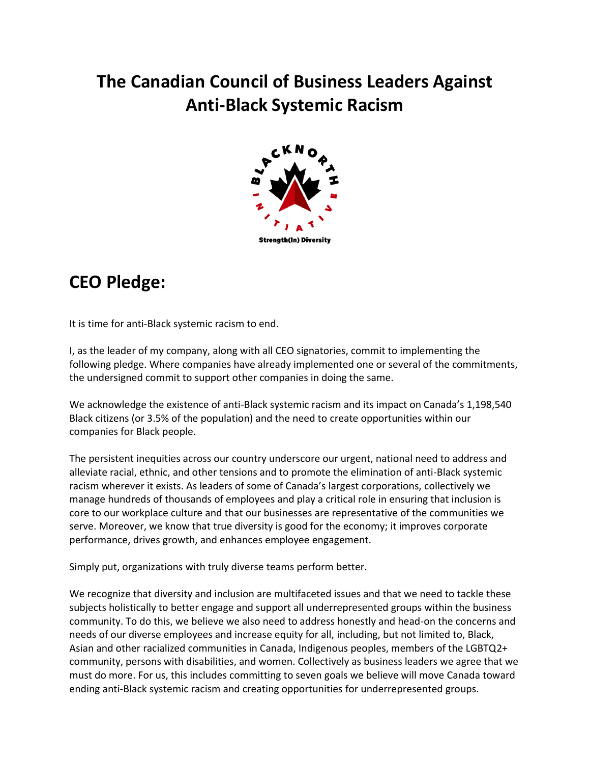## **The Canadian Council of Business Leaders Against Anti-Black Systemic Racism**



## **CEO Pledge:**

It is time for anti-Black systemic racism to end.

I, as the leader of my company, along with all CEO signatories, commit to implementing the following pledge. Where companies have already implemented one or several of the commitments, the undersigned commit to support other companies in doing the same.

We acknowledge the existence of anti-Black systemic racism and its impact on Canada's 1,198,540 Black citizens (or 3.5% of the population) and the need to create opportunities within our companies for Black people.

The persistent inequities across our country underscore our urgent, national need to address and alleviate racial, ethnic, and other tensions and to promote the elimination of anti-Black systemic racism wherever it exists. As leaders of some of Canada's largest corporations, collectively we manage hundreds of thousands of employees and play a critical role in ensuring that inclusion is core to our workplace culture and that our businesses are representative of the communities we serve. Moreover, we know that true diversity is good for the economy; it improves corporate performance, drives growth, and enhances employee engagement.

Simply put, organizations with truly diverse teams perform better.

We recognize that diversity and inclusion are multifaceted issues and that we need to tackle these subjects holistically to better engage and support all underrepresented groups within the business community. To do this, we believe we also need to address honestly and head-on the concerns and needs of our diverse employees and increase equity for all, including, but not limited to, Black, Asian and other racialized communities in Canada, Indigenous peoples, members of the LGBTQ2+ community, persons with disabilities, and women. Collectively as business leaders we agree that we must do more. For us, this includes committing to seven goals we believe will move Canada toward ending anti-Black systemic racism and creating opportunities for underrepresented groups.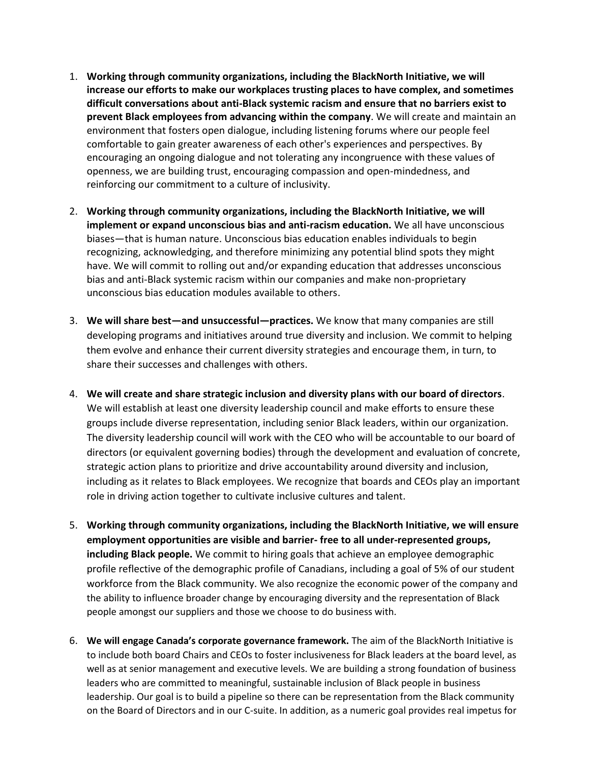- 1. **Working through community organizations, including the BlackNorth Initiative, we will increase our efforts to make our workplaces trusting places to have complex, and sometimes difficult conversations about anti-Black systemic racism and ensure that no barriers exist to prevent Black employees from advancing within the company**. We will create and maintain an environment that fosters open dialogue, including listening forums where our people feel comfortable to gain greater awareness of each other's experiences and perspectives. By encouraging an ongoing dialogue and not tolerating any incongruence with these values of openness, we are building trust, encouraging compassion and open-mindedness, and reinforcing our commitment to a culture of inclusivity.
- 2. **Working through community organizations, including the BlackNorth Initiative, we will implement or expand unconscious bias and anti-racism education.** We all have unconscious biases—that is human nature. Unconscious bias education enables individuals to begin recognizing, acknowledging, and therefore minimizing any potential blind spots they might have. We will commit to rolling out and/or expanding education that addresses unconscious bias and anti-Black systemic racism within our companies and make non-proprietary unconscious bias education modules available to others.
- 3. **We will share best—and unsuccessful—practices.** We know that many companies are still developing programs and initiatives around true diversity and inclusion. We commit to helping them evolve and enhance their current diversity strategies and encourage them, in turn, to share their successes and challenges with others.
- 4. **We will create and share strategic inclusion and diversity plans with our board of directors**. We will establish at least one diversity leadership council and make efforts to ensure these groups include diverse representation, including senior Black leaders, within our organization. The diversity leadership council will work with the CEO who will be accountable to our board of directors (or equivalent governing bodies) through the development and evaluation of concrete, strategic action plans to prioritize and drive accountability around diversity and inclusion, including as it relates to Black employees. We recognize that boards and CEOs play an important role in driving action together to cultivate inclusive cultures and talent.
- 5. **Working through community organizations, including the BlackNorth Initiative, we will ensure employment opportunities are visible and barrier- free to all under-represented groups, including Black people.** We commit to hiring goals that achieve an employee demographic profile reflective of the demographic profile of Canadians, including a goal of 5% of our student workforce from the Black community. We also recognize the economic power of the company and the ability to influence broader change by encouraging diversity and the representation of Black people amongst our suppliers and those we choose to do business with.
- 6. **We will engage Canada's corporate governance framework.** The aim of the BlackNorth Initiative is to include both board Chairs and CEOs to foster inclusiveness for Black leaders at the board level, as well as at senior management and executive levels. We are building a strong foundation of business leaders who are committed to meaningful, sustainable inclusion of Black people in business leadership. Our goal is to build a pipeline so there can be representation from the Black community on the Board of Directors and in our C-suite. In addition, as a numeric goal provides real impetus for